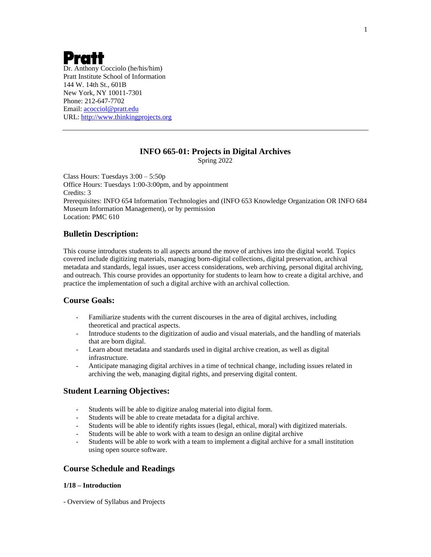# Pratt

Dr. Anthony Cocciolo (he/his/him) Pratt Institute School of Information 144 W. 14th St., 601B New York, NY 10011-7301 Phone: 212-647-7702 Email: [acocciol@pratt.edu](mailto:acocciol@pratt.edu) URL: [http://www.thinkingprojects.org](http://www.thinkingprojects.org/)

## **INFO 665-01: Projects in Digital Archives**

Spring 2022

Class Hours: Tuesdays 3:00 – 5:50p Office Hours: Tuesdays 1:00-3:00pm, and by appointment Credits: 3 Prerequisites: INFO 654 Information Technologies and (INFO 653 Knowledge Organization OR INFO 684 Museum Information Management), or by permission Location: PMC 610

## **Bulletin Description:**

This course introduces students to all aspects around the move of archives into the digital world. Topics covered include digitizing materials, managing born-digital collections, digital preservation, archival metadata and standards, legal issues, user access considerations, web archiving, personal digital archiving, and outreach. This course provides an opportunity for students to learn how to create a digital archive, and practice the implementation of such a digital archive with an archival collection.

## **Course Goals:**

- Familiarize students with the current discourses in the area of digital archives, including theoretical and practical aspects.
- Introduce students to the digitization of audio and visual materials, and the handling of materials that are born digital.
- Learn about metadata and standards used in digital archive creation, as well as digital infrastructure.
- Anticipate managing digital archives in a time of technical change, including issues related in archiving the web, managing digital rights, and preserving digital content.

## **Student Learning Objectives:**

- Students will be able to digitize analog material into digital form.
- Students will be able to create metadata for a digital archive.
- Students will be able to identify rights issues (legal, ethical, moral) with digitized materials.
- Students will be able to work with a team to design an online digital archive
- Students will be able to work with a team to implement a digital archive for a small institution using open source software.

## **Course Schedule and Readings**

#### **1/18 – Introduction**

- Overview of Syllabus and Projects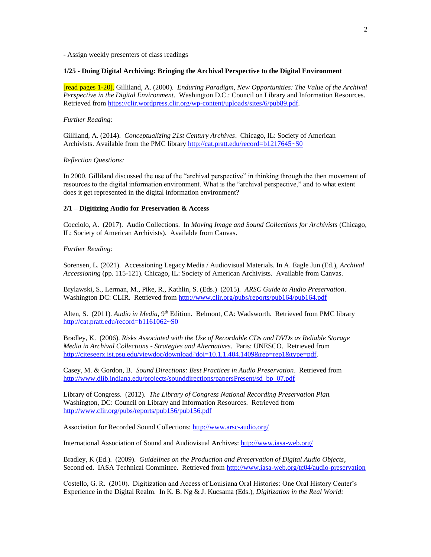- Assign weekly presenters of class readings

#### **1/25** - **Doing Digital Archiving: Bringing the Archival Perspective to the Digital Environment**

[read pages 1-20]. Gilliland, A. (2000). *Enduring Paradigm, New Opportunities: The Value of the Archival Perspective in the Digital Environment*. Washington D.C.: Council on Library and Information Resources. Retrieved from [https://clir.wordpress.clir.org/wp-content/uploads/sites/6/pub89.pdf.](https://clir.wordpress.clir.org/wp-content/uploads/sites/6/pub89.pdf)

#### *Further Reading:*

Gilliland, A. (2014). *Conceptualizing 21st Century Archives*. Chicago, IL: Society of American Archivists. Available from the PMC library <http://cat.pratt.edu/record=b1217645~S0>

#### *Reflection Questions:*

In 2000, Gilliland discussed the use of the "archival perspective" in thinking through the then movement of resources to the digital information environment. What is the "archival perspective," and to what extent does it get represented in the digital information environment?

#### **2/1 – Digitizing Audio for Preservation & Access**

Cocciolo, A. (2017). Audio Collections. In *Moving Image and Sound Collections for Archivists* (Chicago, IL: Society of American Archivists). Available from Canvas.

#### *Further Reading:*

Sorensen, L. (2021). Accessioning Legacy Media / Audiovisual Materials. In A. Eagle Jun (Ed.), *Archival Accessioning* (pp. 115-121). Chicago, IL: Society of American Archivists. Available from Canvas.

Brylawski, S., Lerman, M., Pike, R., Kathlin, S. (Eds.) (2015). *ARSC Guide to Audio Preservation*. Washington DC: CLIR. Retrieved fro[m http://www.clir.org/pubs/reports/pub164/pub164.pdf](http://www.clir.org/pubs/reports/pub164/pub164.pdf)

Alten, S. (2011). *Audio in Media*, 9<sup>th</sup> Edition. Belmont, CA: Wadsworth. Retrieved from PMC library <http://cat.pratt.edu/record=b1161062~S0>

Bradley, K. (2006). *Risks Associated with the Use of Recordable CDs and DVDs as Reliable Storage Media in Archival Collections - Strategies and Alternatives*. Paris: UNESCO. Retrieved from [http://citeseerx.ist.psu.edu/viewdoc/download?doi=10.1.1.404.1409&rep=rep1&type=pdf.](http://citeseerx.ist.psu.edu/viewdoc/download?doi=10.1.1.404.1409&rep=rep1&type=pdf)

Casey, M. & Gordon, B. *Sound Directions: Best Practices in Audio Preservation*. Retrieved from [http://www.dlib.indiana.edu/projects/sounddirections/papersPresent/sd\\_bp\\_07.pdf](http://www.dlib.indiana.edu/projects/sounddirections/papersPresent/sd_bp_07.pdf)

Library of Congress. (2012). *The Library of Congress National Recording Preservation Plan.* Washington, DC: Council on Library and Information Resources. Retrieved from <http://www.clir.org/pubs/reports/pub156/pub156.pdf>

Association for Recorded Sound Collections[: http://www.arsc-audio.org/](http://www.arsc-audio.org/)

International Association of Sound and Audiovisual Archives:<http://www.iasa-web.org/>

Bradley, K (Ed.). (2009). *Guidelines on the Production and Preservation of Digital Audio Objects*, Second ed. IASA Technical Committee. Retrieved from<http://www.iasa-web.org/tc04/audio-preservation>

Costello, G. R. (2010). Digitization and Access of Louisiana Oral Histories: One Oral History Center's Experience in the Digital Realm. In K. B. Ng & J. Kucsama (Eds.), *Digitization in the Real World:*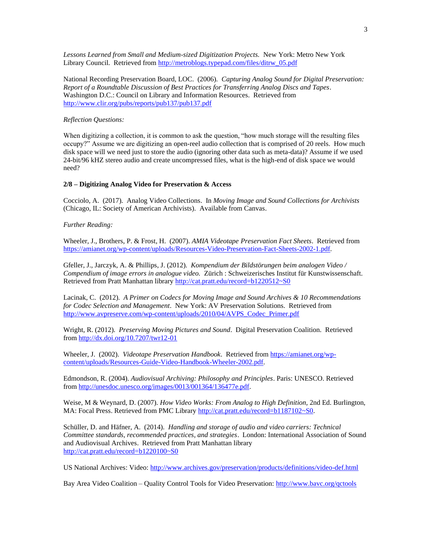Lessons Learned from Small and Medium-sized Digitization Projects. New York: Metro New York Library Council. Retrieved from [http://metroblogs.typepad.com/files/ditrw\\_05.pdf](http://metroblogs.typepad.com/files/ditrw_05.pdf)

National Recording Preservation Board, LOC. (2006). *Capturing Analog Sound for Digital Preservation: Report of a Roundtable Discussion of Best Practices for Transferring Analog Discs and Tapes*. Washington D.C.: Council on Library and Information Resources. Retrieved from <http://www.clir.org/pubs/reports/pub137/pub137.pdf>

#### *Reflection Questions:*

When digitizing a collection, it is common to ask the question, "how much storage will the resulting files occupy?" Assume we are digitizing an open-reel audio collection that is comprised of 20 reels. How much disk space will we need just to store the audio (ignoring other data such as meta-data)? Assume if we used 24-bit/96 kHZ stereo audio and create uncompressed files, what is the high-end of disk space we would need?

#### **2/8 – Digitizing Analog Video for Preservation & Access**

Cocciolo, A. (2017). Analog Video Collections. In *Moving Image and Sound Collections for Archivists* (Chicago, IL: Society of American Archivists). Available from Canvas.

#### *Further Reading:*

Wheeler, J., Brothers, P. & Frost, H. (2007). *AMIA Videotape Preservation Fact Sheets*. Retrieved from [https://amianet.org/wp-content/uploads/Resources-Video-Preservation-Fact-Sheets-2002-1.pdf.](https://amianet.org/wp-content/uploads/Resources-Video-Preservation-Fact-Sheets-2002-1.pdf) 

Gfeller, J., Jarczyk, A. & Phillips, J. (2012). *Kompendium der Bildstörungen beim analogen Video / Compendium of image errors in analogue video.* Zürich : Schweizerisches Institut für Kunstwissenschaft. Retrieved from Pratt Manhattan library<http://cat.pratt.edu/record=b1220512~S0>

Lacinak, C. (2012). *A Primer on Codecs for Moving Image and Sound Archives & 10 Recommendations for Codec Selection and Management*. New York: AV Preservation Solutions. Retrieved from [http://www.avpreserve.com/wp-content/uploads/2010/04/AVPS\\_Codec\\_Primer.pdf](http://www.avpreserve.com/wp-content/uploads/2010/04/AVPS_Codec_Primer.pdf)

Wright, R. (2012). *Preserving Moving Pictures and Sound*. Digital Preservation Coalition. Retrieved from<http://dx.doi.org/10.7207/twr12-01>

Wheeler, J. (2002). *Videotape Preservation Handbook*. Retrieved from [https://amianet.org/wp](https://amianet.org/wp-content/uploads/Resources-Guide-Video-Handbook-Wheeler-2002.pdf)[content/uploads/Resources-Guide-Video-Handbook-Wheeler-2002.pdf.](https://amianet.org/wp-content/uploads/Resources-Guide-Video-Handbook-Wheeler-2002.pdf)

Edmondson, R. (2004). *Audiovisual Archiving: Philosophy and Principles*. Paris: UNESCO. Retrieved from [http://unesdoc.unesco.org/images/0013/001364/136477e.pdf.](http://unesdoc.unesco.org/images/0013/001364/136477e.pdf) 

Weise, M & Weynard, D. (2007). *How Video Works: From Analog to High Definition,* 2nd Ed. Burlington, MA: Focal Press. Retrieved from PMC Library [http://cat.pratt.edu/record=b1187102~S0.](http://cat.pratt.edu/record=b1187102~S0)

Schüller, D. and Häfner, A. (2014). *Handling and storage of audio and video carriers: Technical Committee standards, recommended practices, and strategies*. London: International Association of Sound and Audiovisual Archives. Retrieved from Pratt Manhattan library <http://cat.pratt.edu/record=b1220100~S0>

US National Archives: Video:<http://www.archives.gov/preservation/products/definitions/video-def.html>

Bay Area Video Coalition – Quality Control Tools for Video Preservation:<http://www.bavc.org/qctools>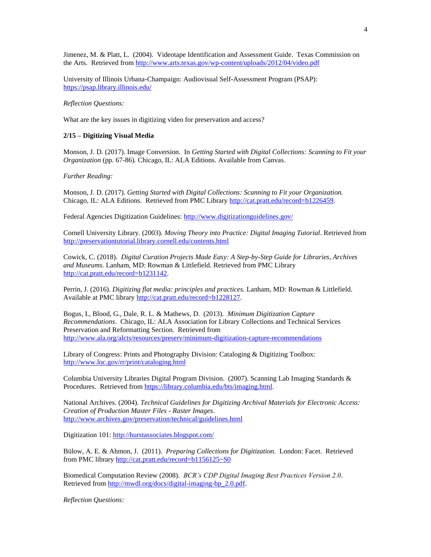Jimenez, M. & Platt, L. (2004). Videotape Identification and Assessment Guide. Texas Commission on the Arts. Retrieved fro[m http://www.arts.texas.gov/wp-content/uploads/2012/04/video.pdf](http://www.arts.texas.gov/wp-content/uploads/2012/04/video.pdf)

University of Illinois Urbana-Champaign: Audiovisual Self-Assessment Program (PSAP): <https://psap.library.illinois.edu/>

*Reflection Questions:*

What are the key issues in digitizing video for preservation and access?

#### **2/15 – Digitizing Visual Media**

Monson, J. D. (2017). Image Conversion. In *Getting Started with Digital Collections: Scanning to Fit your Organization* (pp. 67-86). Chicago, IL: ALA Editions. Available from Canvas.

#### *Further Reading:*

Monson, J. D. (2017). *Getting Started with Digital Collections: Scanning to Fit your Organization.*  Chicago, IL: ALA Editions. Retrieved from PMC Library [http://cat.pratt.edu/record=b1226459.](http://cat.pratt.edu/record=b1226459)

Federal Agencies Digitization Guidelines:<http://www.digitizationguidelines.gov/>

Cornell University Library. (2003). *Moving Theory into Practice: Digital Imaging Tutorial*. Retrieved from <http://preservationtutorial.library.cornell.edu/contents.html>

Cowick, C. (2018). *Digital Curation Projects Made Easy: A Step-by-Step Guide for Libraries, Archives and Museums.* Lanham, MD: Rowman & Littlefield. Retrieved from PMC Library [http://cat.pratt.edu/record=b1231142.](http://cat.pratt.edu/record=b1231142) 

Perrin, J. (2016). *Digitizing flat media: principles and practices.* Lanham, MD: Rowman & Littlefield. Available at PMC library [http://cat.pratt.edu/record=b1228127.](http://cat.pratt.edu/record=b1228127)

Bogus, I., Blood, G., Dale, R. L. & Mathews, D. (2013). *Minimum Digitization Capture Recommendations*. Chicago, IL: ALA Association for Library Collections and Technical Services Preservation and Reformatting Section. Retrieved from <http://www.ala.org/alcts/resources/preserv/minimum-digitization-capture-recommendations>

Library of Congress: Prints and Photography Division: Cataloging & Digitizing Toolbox: <http://www.loc.gov/rr/print/cataloging.html>

Columbia University Libraries Digital Program Division. (2007). Scanning Lab Imaging Standards & Procedures. Retrieved from [https://library.columbia.edu/bts/imaging.html.](https://library.columbia.edu/bts/imaging.html)

National Archives. (2004). *Technical Guidelines for Digitizing Archival Materials for Electronic Access: Creation of Production Master Files - Raster Images*. <http://www.archives.gov/preservation/technical/guidelines.html>

Digitization 101[: http://hurstassociates.blogspot.com/](http://hurstassociates.blogspot.com/)

Bülow, A. E. & Ahmon, J. (2011). *Preparing Collections for Digitization.* London: Facet. Retrieved from PMC librar[y http://cat.pratt.edu/record=b1156125~S0](http://cat.pratt.edu/record=b1156125~S0)

Biomedical Computation Review (2008). *BCR's CDP Digital Imaging Best Practices Version 2.0*. Retrieved from [http://mwdl.org/docs/digital-imaging-bp\\_2.0.pdf.](http://mwdl.org/docs/digital-imaging-bp_2.0.pdf)

*Reflection Questions:*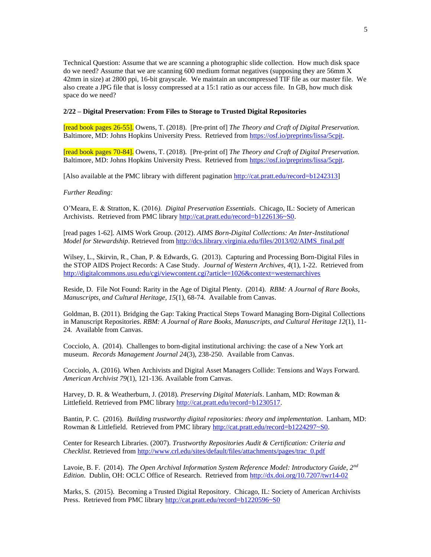Technical Question: Assume that we are scanning a photographic slide collection. How much disk space do we need? Assume that we are scanning 600 medium format negatives (supposing they are 56mm X 42mm in size) at 2800 ppi, 16-bit grayscale. We maintain an uncompressed TIF file as our master file. We also create a JPG file that is lossy compressed at a 15:1 ratio as our access file. In GB, how much disk space do we need?

#### **2/22 – Digital Preservation: From Files to Storage to Trusted Digital Repositories**

[read book pages 26-55]. Owens, T. (2018). [Pre-print of] *The Theory and Craft of Digital Preservation.*  Baltimore, MD: Johns Hopkins University Press. Retrieved fro[m https://osf.io/preprints/lissa/5cpjt.](https://osf.io/preprints/lissa/5cpjt)

[read book pages 70-84]. Owens, T. (2018). [Pre-print of] *The Theory and Craft of Digital Preservation.*  Baltimore, MD: Johns Hopkins University Press. Retrieved fro[m https://osf.io/preprints/lissa/5cpjt.](https://osf.io/preprints/lissa/5cpjt)

[Also available at the PMC library with different pagination [http://cat.pratt.edu/record=b1242313\]](http://cat.pratt.edu/record=b1242313)

#### *Further Reading:*

O'Meara, E. & Stratton, K. (2016*). Digital Preservation Essentials*. Chicago, IL: Society of American Archivists. Retrieved from PMC librar[y http://cat.pratt.edu/record=b1226136~S0.](http://cat.pratt.edu/record=b1226136~S0)

[read pages 1-62]. AIMS Work Group. (2012). *AIMS Born-Digital Collections: An Inter-Institutional Model for Stewardship*. Retrieved from [http://dcs.library.virginia.edu/files/2013/02/AIMS\\_final.pdf](http://dcs.library.virginia.edu/files/2013/02/AIMS_final.pdf)

Wilsey, L., Skirvin, R., Chan, P. & Edwards, G. (2013). Capturing and Processing Born-Digital Files in the STOP AIDS Project Records: A Case Study. *Journal of Western Archives, 4*(1), 1-22. Retrieved from <http://digitalcommons.usu.edu/cgi/viewcontent.cgi?article=1026&context=westernarchives>

Reside, D. File Not Found: Rarity in the Age of Digital Plenty. (2014). *RBM: A Journal of Rare Books, Manuscripts, and Cultural Heritage, 15*(1), 68-74. Available from Canvas.

Goldman, B. (2011). Bridging the Gap: Taking Practical Steps Toward Managing Born-Digital Collections in Manuscript Repositories. *RBM: A Journal of Rare Books, Manuscripts, and Cultural Heritage 12*(1), 11- 24. Available from Canvas.

Cocciolo, A. (2014). Challenges to born-digital institutional archiving: the case of a New York art museum. *Records Management Journal 24*(3), 238-250. Available from Canvas.

Cocciolo, A. (2016). When Archivists and Digital Asset Managers Collide: Tensions and Ways Forward. *American Archivist 79*(1), 121-136. Available from Canvas.

Harvey, D. R. & Weatherburn, J. (2018). *Preserving Digital Materials*. Lanham, MD: Rowman & Littlefield. Retrieved from PMC library [http://cat.pratt.edu/record=b1230517.](http://cat.pratt.edu/record=b1230517) 

Bantin, P. C. (2016). *Building trustworthy digital repositories: theory and implementation*. Lanham, MD: Rowman & Littlefield. Retrieved from PMC library [http://cat.pratt.edu/record=b1224297~S0.](http://cat.pratt.edu/record=b1224297~S0)

Center for Research Libraries. (2007). *Trustworthy Repositories Audit & Certification: Criteria and Checklist*. Retrieved fro[m http://www.crl.edu/sites/default/files/attachments/pages/trac\\_0.pdf](http://www.crl.edu/sites/default/files/attachments/pages/trac_0.pdf)

Lavoie, B. F. (2014). *The Open Archival Information System Reference Model: Introductory Guide, 2nd Edition*. Dublin, OH: OCLC Office of Research. Retrieved from<http://dx.doi.org/10.7207/twr14-02>

Marks, S. (2015).Becoming a Trusted Digital Repository. Chicago, IL: Society of American Archivists Press. Retrieved from PMC library <http://cat.pratt.edu/record=b1220596~S0>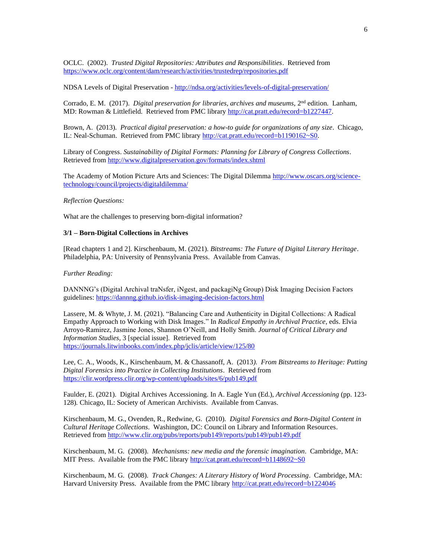OCLC. (2002). *Trusted Digital Repositories: Attributes and Responsibilities*. Retrieved from <https://www.oclc.org/content/dam/research/activities/trustedrep/repositories.pdf>

NDSA Levels of Digital Preservation - <http://ndsa.org/activities/levels-of-digital-preservation/>

Corrado, E. M. (2017). *Digital preservation for libraries, archives and museums*, 2<sup>nd</sup> edition. Lanham, MD: Rowman & Littlefield. Retrieved from PMC library [http://cat.pratt.edu/record=b1227447.](http://cat.pratt.edu/record=b1227447)

Brown, A. (2013). *Practical digital preservation: a how-to guide for organizations of any size*. Chicago, IL: Neal-Schuman. Retrieved from PMC library [http://cat.pratt.edu/record=b1190162~S0.](http://cat.pratt.edu/record=b1190162~S0)

Library of Congress. *Sustainability of Digital Formats: Planning for Library of Congress Collections*. Retrieved from<http://www.digitalpreservation.gov/formats/index.shtml>

The Academy of Motion Picture Arts and Sciences: The Digital Dilemma [http://www.oscars.org/science](http://www.oscars.org/science-technology/council/projects/digitaldilemma/)[technology/council/projects/digitaldilemma/](http://www.oscars.org/science-technology/council/projects/digitaldilemma/)

#### *Reflection Questions:*

What are the challenges to preserving born-digital information?

#### **3/1 – Born-Digital Collections in Archives**

[Read chapters 1 and 2]. Kirschenbaum, M. (2021). *Bitstreams: The Future of Digital Literary Heritage*. Philadelphia, PA: University of Pennsylvania Press. Available from Canvas.

#### *Further Reading:*

DANNNG's (Digital Archival traNsfer, iNgest, and packagiNg Group) Disk Imaging Decision Factors guidelines[: https://dannng.github.io/disk-imaging-decision-factors.html](https://dannng.github.io/disk-imaging-decision-factors.html)

Lassere, M. & Whyte, J. M. (2021). "Balancing Care and Authenticity in Digital Collections: A Radical Empathy Approach to Working with Disk Images." In *Radical Empathy in Archival Practice*, eds. Elvia Arroyo-Ramirez, Jasmine Jones, Shannon O'Neill, and Holly Smith. *Journal of Critical Library and Information Studies,* 3 [special issue]. Retrieved from <https://journals.litwinbooks.com/index.php/jclis/article/view/125/80>

Lee, C. A., Woods, K., Kirschenbaum, M. & Chassanoff, A. (2013*). From Bitstreams to Heritage: Putting Digital Forensics into Practice in Collecting Institutions*. Retrieved from <https://clir.wordpress.clir.org/wp-content/uploads/sites/6/pub149.pdf>

Faulder, E. (2021). Digital Archives Accessioning. In A. Eagle Yun (Ed.), *Archival Accessioning* (pp. 123- 128)*.* Chicago, IL: Society of American Archivists. Available from Canvas.

Kirschenbaum, M. G., Ovenden, R., Redwine, G. (2010). *Digital Forensics and Born-Digital Content in Cultural Heritage Collections*. Washington, DC: Council on Library and Information Resources. Retrieved from<http://www.clir.org/pubs/reports/pub149/reports/pub149/pub149.pdf>

Kirschenbaum, M. G. (2008). *Mechanisms: new media and the forensic imagination*. Cambridge, MA: MIT Press. Available from the PMC library<http://cat.pratt.edu/record=b1148692~S0>

Kirschenbaum, M. G. (2008). *Track Changes: A Literary History of Word Processing*. Cambridge, MA: Harvard University Press. Available from the PMC library<http://cat.pratt.edu/record=b1224046>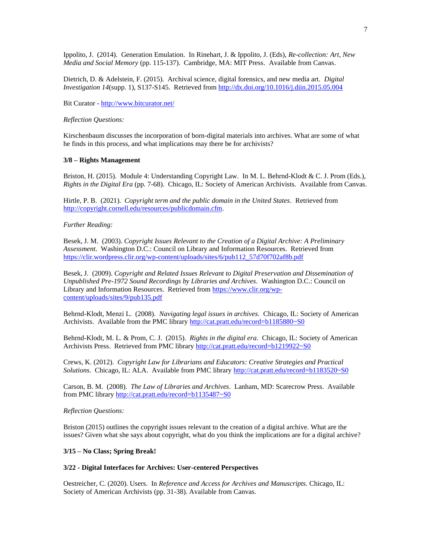Ippolito, J. (2014). Generation Emulation. In Rinehart, J. & Ippolito, J. (Eds), *Re-collection: Art, New Media and Social Memory* (pp. 115-137). Cambridge, MA: MIT Press. Available from Canvas.

Dietrich, D. & Adelstein, F. (2015). Archival science, digital forensics, and new media art. *Digital Investigation 14*(supp. 1), S137-S145. Retrieved from<http://dx.doi.org/10.1016/j.diin.2015.05.004>

Bit Curator - <http://www.bitcurator.net/>

#### *Reflection Questions:*

Kirschenbaum discusses the incorporation of born-digital materials into archives. What are some of what he finds in this process, and what implications may there be for archivists?

#### **3/8 – Rights Management**

Briston, H. (2015). Module 4: Understanding Copyright Law. In M. L. Behrnd-Klodt & C. J. Prom (Eds.), *Rights in the Digital Era* (pp. 7-68). Chicago, IL: Society of American Archivists. Available from Canvas.

Hirtle, P. B. (2021). *Copyright term and the public domain in the United States*. Retrieved from [http://copyright.cornell.edu/resources/publicdomain.cfm.](http://copyright.cornell.edu/resources/publicdomain.cfm)

#### *Further Reading:*

Besek, J. M. (2003). *Copyright Issues Relevant to the Creation of a Digital Archive: A Preliminary Assessment*. Washington D.C.: Council on Library and Information Resources. Retrieved from [https://clir.wordpress.clir.org/wp-content/uploads/sites/6/pub112\\_57d70f702af8b.pdf](https://clir.wordpress.clir.org/wp-content/uploads/sites/6/pub112_57d70f702af8b.pdf)

Besek, J. (2009). *Copyright and Related Issues Relevant to Digital Preservation and Dissemination of Unpublished Pre-1972 Sound Recordings by Libraries and Archives*. Washington D.C.: Council on Library and Information Resources. Retrieved fro[m https://www.clir.org/wp](https://www.clir.org/wp-content/uploads/sites/9/pub135.pdf)[content/uploads/sites/9/pub135.pdf](https://www.clir.org/wp-content/uploads/sites/9/pub135.pdf)

Behrnd-Klodt, Menzi L. (2008). *Navigating legal issues in archives.* Chicago, IL: Society of American Archivists. Available from the PMC library<http://cat.pratt.edu/record=b1185880~S0>

Behrnd-Klodt, M. L. & Prom, C. J. (2015). *Rights in the digital era*. Chicago, IL: Society of American Archivists Press. Retrieved from PMC library<http://cat.pratt.edu/record=b1219922~S0>

Crews, K. (2012). *Copyright Law for Librarians and Educators: Creative Strategies and Practical Solutions*. Chicago, IL: ALA. Available from PMC library<http://cat.pratt.edu/record=b1183520~S0>

Carson, B. M. (2008). *The Law of Libraries and Archives*. Lanham, MD: Scarecrow Press. Available from PMC librar[y http://cat.pratt.edu/record=b1135487~S0](http://cat.pratt.edu/record=b1135487~S0)

#### *Reflection Questions:*

Briston (2015) outlines the copyright issues relevant to the creation of a digital archive. What are the issues? Given what she says about copyright, what do you think the implications are for a digital archive?

#### **3/15 – No Class; Spring Break!**

#### **3/22 - Digital Interfaces for Archives: User-centered Perspectives**

Oestreicher, C. (2020). Users. In *Reference and Access for Archives and Manuscripts.* Chicago, IL: Society of American Archivists (pp. 31-38). Available from Canvas.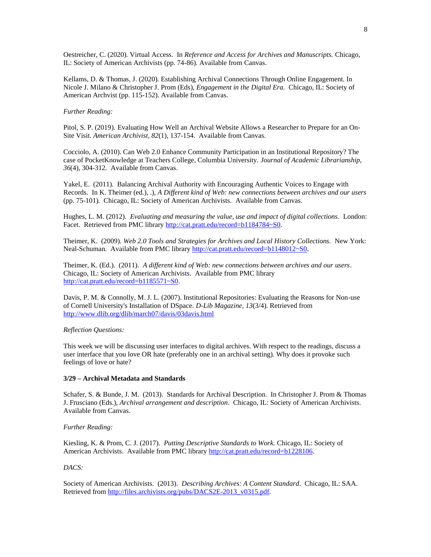Oestreicher, C. (2020). Virtual Access. In *Reference and Access for Archives and Manuscripts.* Chicago, IL: Society of American Archivists (pp. 74-86). Available from Canvas.

Kellams, D. & Thomas, J. (2020). Establishing Archival Connections Through Online Engagement. In Nicole J. Milano & Christopher J. Prom (Eds), *Engagement in the Digital Era.* Chicago, IL: Society of American Archvist (pp. 115-152). Available from Canvas.

#### *Further Reading:*

Pitol, S. P. (2019). Evaluating How Well an Archival Website Allows a Researcher to Prepare for an On-Site Visit. *American Archivist, 82*(1), 137-154. Available from Canvas.

Cocciolo, A. (2010). Can Web 2.0 Enhance Community Participation in an Institutional Repository? The case of PocketKnowledge at Teachers College, Columbia University. *Journal of Academic Librarianship, 36*(4), 304-312. Available from Canvas.

Yakel, E. (2011). Balancing Archival Authority with Encouraging Authentic Voices to Engage with Records. In K. Theimer (ed.), .), *A Different kind of Web: new connections between archives and our users*  (pp. 75-101)*.* Chicago, IL: Society of American Archivists. Available from Canvas.

Hughes, L. M. (2012). *Evaluating and measuring the value, use and impact of digital collections*. London: Facet. Retrieved from PMC library [http://cat.pratt.edu/record=b1184784~S0.](http://cat.pratt.edu/record=b1184784~S0)

Theimer, K. (2009). *Web 2.0 Tools and Strategies for Archives and Local History Collections.* New York: Neal-Schuman. Available from PMC library [http://cat.pratt.edu/record=b1148012~S0.](http://cat.pratt.edu/record=b1148012~S0)

Theimer, K. (Ed.). (2011). *A different kind of Web: new connections between archives and our users*. Chicago, IL: Society of American Archivists. Available from PMC library [http://cat.pratt.edu/record=b1185571~S0.](http://cat.pratt.edu/record=b1185571~S0)

Davis, P. M. & Connolly, M. J. L. (2007). Institutional Repositories: Evaluating the Reasons for Non-use of Cornell University's Installation of DSpace. *D-Lib Magazine, 13*(3/4). Retrieved from <http://www.dlib.org/dlib/march07/davis/03davis.html>

#### *Reflection Questions:*

This week we will be discussing user interfaces to digital archives. With respect to the readings, discuss a user interface that you love OR hate (preferably one in an archival setting). Why does it provoke such feelings of love or hate?

#### **3/29 – Archival Metadata and Standards**

Schafer, S. & Bunde, J. M. (2013). Standards for Archival Description. In Christopher J. Prom & Thomas J. Frusciano (Eds.), *Archival arrangement and description*. Chicago, IL: Society of American Archivists. Available from Canvas.

#### *Further Reading:*

Kiesling, K. & Prom, C. J. (2017). *Putting Descriptive Standards to Work.* Chicago, IL: Society of American Archivists. Available from PMC librar[y http://cat.pratt.edu/record=b1228106.](http://cat.pratt.edu/record=b1228106)

#### *DACS:*

Society of American Archivists. (2013). *Describing Archives: A Content Standard*. Chicago, IL: SAA. Retrieved from [http://files.archivists.org/pubs/DACS2E-2013\\_v0315.pdf.](http://files.archivists.org/pubs/DACS2E-2013_v0315.pdf)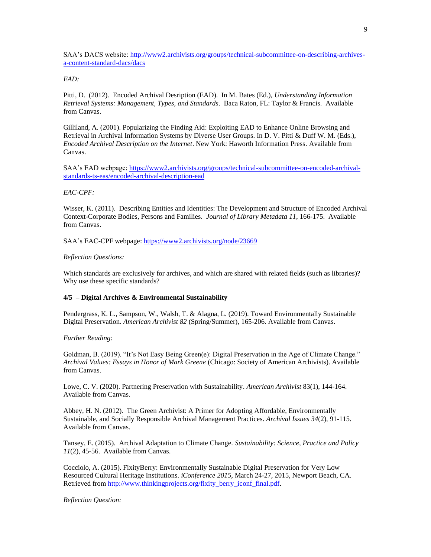SAA's DACS website[: http://www2.archivists.org/groups/technical-subcommittee-on-describing-archives](http://www2.archivists.org/groups/technical-subcommittee-on-describing-archives-a-content-standard-dacs/dacs)[a-content-standard-dacs/dacs](http://www2.archivists.org/groups/technical-subcommittee-on-describing-archives-a-content-standard-dacs/dacs)

#### *EAD:*

Pitti, D. (2012). Encoded Archival Desription (EAD). In M. Bates (Ed.), *Understanding Information Retrieval Systems: Management, Types, and Standards*. Baca Raton, FL: Taylor & Francis. Available from Canvas.

Gilliland, A. (2001). Popularizing the Finding Aid: Exploiting EAD to Enhance Online Browsing and Retrieval in Archival Information Systems by Diverse User Groups. In D. V. Pitti & Duff W. M. (Eds.), *Encoded Archival Description on the Internet*. New York: Haworth Information Press. Available from Canvas.

SAA's EAD webpage[: https://www2.archivists.org/groups/technical-subcommittee-on-encoded-archival](https://www2.archivists.org/groups/technical-subcommittee-on-encoded-archival-standards-ts-eas/encoded-archival-description-ead)[standards-ts-eas/encoded-archival-description-ead](https://www2.archivists.org/groups/technical-subcommittee-on-encoded-archival-standards-ts-eas/encoded-archival-description-ead)

#### *EAC-CPF:*

Wisser, K. (2011). Describing Entities and Identities: The Development and Structure of Encoded Archival Context-Corporate Bodies, Persons and Families. *Journal of Library Metadata 11*, 166-175. Available from Canvas.

SAA's EAC-CPF webpage:<https://www2.archivists.org/node/23669>

#### *Reflection Questions:*

Which standards are exclusively for archives, and which are shared with related fields (such as libraries)? Why use these specific standards?

#### **4/5 – Digital Archives & Environmental Sustainability**

Pendergrass, K. L., Sampson, W., Walsh, T. & Alagna, L. (2019). Toward Environmentally Sustainable Digital Preservation. *American Archivist 82* (Spring/Summer), 165-206. Available from Canvas.

#### *Further Reading:*

Goldman, B. (2019). "It's Not Easy Being Green(e): Digital Preservation in the Age of Climate Change." *Archival Values: Essays in Honor of Mark Greene* (Chicago: Society of American Archivists). Available from Canvas.

Lowe, C. V. (2020). Partnering Preservation with Sustainability. *American Archivist* 83(1), 144-164. Available from Canvas.

Abbey, H. N. (2012). The Green Archivist: A Primer for Adopting Affordable, Environmentally Sustainable, and Socially Responsible Archival Management Practices. *Archival Issues 34*(2), 91-115. Available from Canvas.

Tansey, E. (2015). Archival Adaptation to Climate Change. *Sustainability: Science, Practice and Policy 11*(2), 45-56. Available from Canvas.

Cocciolo, A. (2015). FixityBerry: Environmentally Sustainable Digital Preservation for Very Low Resourced Cultural Heritage Institutions. *iConference 2015*, March 24-27, 2015, Newport Beach, CA. Retrieved from http://www.thinkingprojects.org/fixity\_berry\_iconf\_final.pdf.

*Reflection Question:*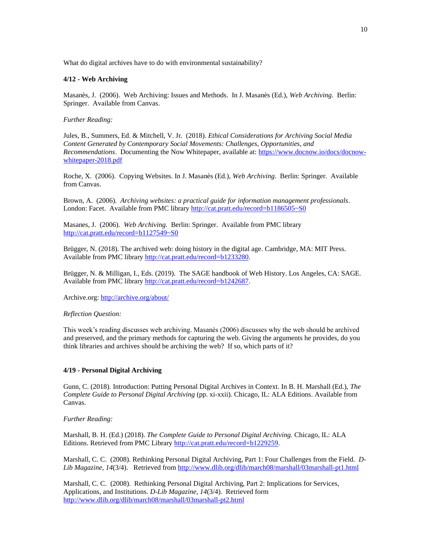What do digital archives have to do with environmental sustainability?

#### **4/12 - Web Archiving**

Masanès, J. (2006). Web Archiving: Issues and Methods. In J. Masanès (Ed.), *Web Archiving*. Berlin: Springer. Available from Canvas.

#### *Further Reading:*

Jules, B., Summers, Ed. & Mitchell, V. Jr. (2018). *Ethical Considerations for Archiving Social Media Content Generated by Contemporary Social Movements: Challenges, Opportunities, and Recommendations*. Documenting the Now Whitepaper, available at: [https://www.docnow.io/docs/docnow](https://www.docnow.io/docs/docnow-whitepaper-2018.pdf)[whitepaper-2018.pdf](https://www.docnow.io/docs/docnow-whitepaper-2018.pdf)

Roche, X. (2006). Copying Websites. In J. Masanès (Ed.), *Web Archiving*. Berlin: Springer. Available from Canvas.

Brown, A. (2006). *Archiving websites: a practical guide for information management professionals*. London: Facet. Available from PMC library <http://cat.pratt.edu/record=b1186505~S0>

Masanes, J. (2006). *Web Archiving.* Berlin: Springer. Available from PMC library <http://cat.pratt.edu/record=b1127549~S0>

Brügger, N. (2018). The archived web: doing history in the digital age. Cambridge, MA: MIT Press. Available from PMC library [http://cat.pratt.edu/record=b1233280.](http://cat.pratt.edu/record=b1233280) 

Brügger, N. & Milligan, I., Eds. (2019). The SAGE handbook of Web History. Los Angeles, CA: SAGE. Available from PMC library [http://cat.pratt.edu/record=b1242687.](http://cat.pratt.edu/record=b1242687) 

Archive.org:<http://archive.org/about/>

#### *Reflection Question:*

This week's reading discusses web archiving. Masanès (2006) discusses why the web should be archived and preserved, and the primary methods for capturing the web. Giving the arguments he provides, do you think libraries and archives should be archiving the web? If so, which parts of it?

#### **4/19 - Personal Digital Archiving**

Gunn, C. (2018). Introduction: Putting Personal Digital Archives in Context. In B. H. Marshall (Ed.), *The Complete Guide to Personal Digital Archiving* (pp. xi-xxii)*.* Chicago, IL: ALA Editions. Available from Canvas.

*Further Reading:*

Marshall, B. H. (Ed.) (2018). *The Complete Guide to Personal Digital Archiving.* Chicago, IL: ALA Editions. Retrieved from PMC Library [http://cat.pratt.edu/record=b1229259.](http://cat.pratt.edu/record=b1229259)

Marshall, C. C. (2008). Rethinking Personal Digital Archiving, Part 1: Four Challenges from the Field. *D-Lib Magazine, 14*(3/4). Retrieved from<http://www.dlib.org/dlib/march08/marshall/03marshall-pt1.html>

Marshall, C. C. (2008). Rethinking Personal Digital Archiving, Part 2: Implications for Services, Applications, and Institutions. *D-Lib Magazine, 14*(3/4). Retrieved form <http://www.dlib.org/dlib/march08/marshall/03marshall-pt2.html>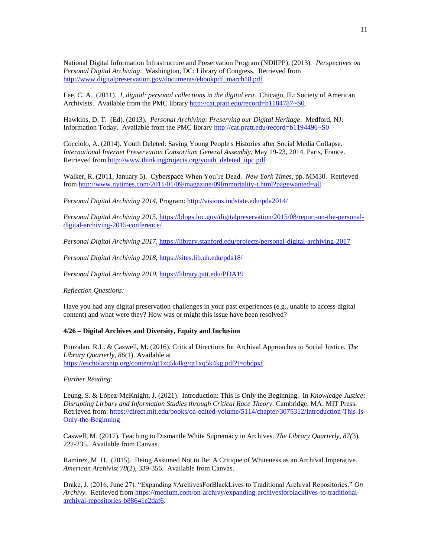National Digital Information Infrastructure and Preservation Program (NDIIPP). (2013). *Perspectives on Personal Digital Archiving*. Washington, DC: Library of Congress. Retrieved from [http://www.digitalpreservation.gov/documents/ebookpdf\\_march18.pdf](http://www.digitalpreservation.gov/documents/ebookpdf_march18.pdf)

Lee, C. A. (2011). *I, digital: personal collections in the digital era*. Chicago, IL: Society of American Archivists. Available from the PMC library [http://cat.pratt.edu/record=b1184787~S0.](http://cat.pratt.edu/record=b1184787~S0)

Hawkins, D. T. (Ed). (2013). *Personal Archiving: Preserving our Digital Heritage*. Medford, NJ: Information Today. Available from the PMC library <http://cat.pratt.edu/record=b1194496~S0>

Cocciolo, A. (2014). Youth Deleted: Saving Young People's Histories after Social Media Collapse. *International Internet Preservation Consortium General Assembly*, May 19-23, 2014, Paris, France. Retrieved from [http://www.thinkingprojects.org/youth\\_deleted\\_iipc.pdf](http://www.thinkingprojects.org/youth_deleted_iipc.pdf)

Walker, R. (2011, January 5). Cyberspace When You're Dead. *New York Times,* pp. MM30*.* Retrieved from<http://www.nytimes.com/2011/01/09/magazine/09Immortality-t.html?pagewanted=all>

*Personal Digital Archiving 2014,* Program:<http://visions.indstate.edu/pda2014/>

*Personal Digital Archiving 2015*[, https://blogs.loc.gov/digitalpreservation/2015/08/report-on-the-personal](https://blogs.loc.gov/digitalpreservation/2015/08/report-on-the-personal-digital-archiving-2015-conference/)[digital-archiving-2015-conference/](https://blogs.loc.gov/digitalpreservation/2015/08/report-on-the-personal-digital-archiving-2015-conference/)

*Personal Digital Archiving 2017,* <https://library.stanford.edu/projects/personal-digital-archiving-2017>

*Personal Digital Archiving 2018,* <https://sites.lib.uh.edu/pda18/>

*Personal Digital Archiving 2019,* <https://library.pitt.edu/PDA19>

*Reflection Questions:*

Have you had any digital preservation challenges in your past experiences (e.g., unable to access digital content) and what were they? How was or might this issue have been resolved?

#### **4/26 – Digital Archives and Diversity, Equity and Inclusion**

Punzalan, R.L. & Caswell, M. (2016). Critical Directions for Archival Approaches to Social Justice. *The Library Quarterly, 86*(1). Available at [https://escholarship.org/content/qt1xq5k4kg/qt1xq5k4kg.pdf?t=obdpxf.](https://escholarship.org/content/qt1xq5k4kg/qt1xq5k4kg.pdf?t=obdpxf)

#### *Further Reading:*

Leung, S. & López-McKnight, J. (2021). Introduction: This Is Only the Beginning. In *Knowledge Justice: Disrupting Lirbary and Information Studies through Critical Race Theory*. Cambridge, MA: MIT Press. Retrieved from: [https://direct.mit.edu/books/oa-edited-volume/5114/chapter/3075312/Introduction-This-Is-](https://direct.mit.edu/books/oa-edited-volume/5114/chapter/3075312/Introduction-This-Is-Only-the-Beginning)[Only-the-Beginning](https://direct.mit.edu/books/oa-edited-volume/5114/chapter/3075312/Introduction-This-Is-Only-the-Beginning)

Caswell, M. (2017). Teaching to Dismantle White Supremacy in Archives. *The Library Quarterly, 87(*3), 222-235. Available from Canvas.

Ramirez, M. H. (2015). Being Assumed Not to Be: A Critique of Whiteness as an Archival Imperative. *American Archivist 78*(2), 339-356. Available from Canvas.

Drake, J. (2016, June 27). "Expanding #ArchivesForBlackLives to Traditional Archival Repositories." *On Archivy.* Retrieved from [https://medium.com/on-archivy/expanding-archivesforblacklives-to-traditional](https://medium.com/on-archivy/expanding-archivesforblacklives-to-traditional-archival-repositories-b88641e2daf6)[archival-repositories-b88641e2daf6.](https://medium.com/on-archivy/expanding-archivesforblacklives-to-traditional-archival-repositories-b88641e2daf6)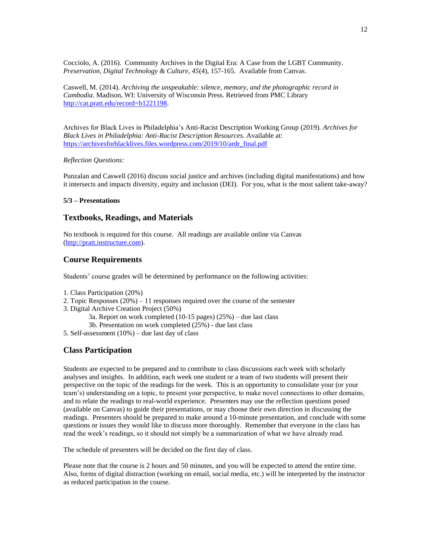Cocciolo, A. (2016). Community Archives in the Digital Era: A Case from the LGBT Community. *Preservation, Digital Technology & Culture, 45*(4), 157-165. Available from Canvas.

Caswell, M. (2014). *Archiving the unspeakable: silence, memory, and the photographic record in Cambodia*. Madison, WI: University of Wisconsin Press. Retrieved from PMC Library [http://cat.pratt.edu/record=b1221198.](http://cat.pratt.edu/record=b1221198) 

Archives for Black Lives in Philadelphia's Anti-Racist Description Working Group (2019). *Archives for Black Lives in Philadelphia: Anti-Racist Description Resources*. Available at: [https://archivesforblacklives.files.wordpress.com/2019/10/ardr\\_final.pdf](https://archivesforblacklives.files.wordpress.com/2019/10/ardr_final.pdf)

#### *Reflection Questions:*

Punzalan and Caswell (2016) discuss social justice and archives (including digital manifestations) and how it intersects and impacts diversity, equity and inclusion (DEI). For you, what is the most salient take-away?

#### **5/3 – Presentations**

#### **Textbooks, Readings, and Materials**

No textbook is required for this course. All readings are available online via Canvas [\(http://pratt.instructure.com\)](http://pratt.instructure.com/).

#### **Course Requirements**

Students' course grades will be determined by performance on the following activities:

- 1. Class Participation (20%)
- 2. Topic Responses  $(20\%) 11$  responses required over the course of the semester
- 3. Digital Archive Creation Project (50%)

3a. Report on work completed (10-15 pages) (25%) – due last class

- 3b. Presentation on work completed (25%) due last class
- 5. Self-assessment (10%) due last day of class

#### **Class Participation**

Students are expected to be prepared and to contribute to class discussions each week with scholarly analyses and insights. In addition, each week one student or a team of two students will present their perspective on the topic of the readings for the week. This is an opportunity to consolidate your (or your team's) understanding on a topic, to present your perspective, to make novel connections to other domains, and to relate the readings to real-world experience. Presenters may use the reflection questions posed (available on Canvas) to guide their presentations, or may choose their own direction in discussing the readings. Presenters should be prepared to make around a 10-minute presentation, and conclude with some questions or issues they would like to discuss more thoroughly. Remember that everyone in the class has read the week's readings, so it should not simply be a summarization of what we have already read.

The schedule of presenters will be decided on the first day of class.

Please note that the course is 2 hours and 50 minutes, and you will be expected to attend the entire time. Also, forms of digital distraction (working on email, social media, etc.) will be interpreted by the instructor as reduced participation in the course.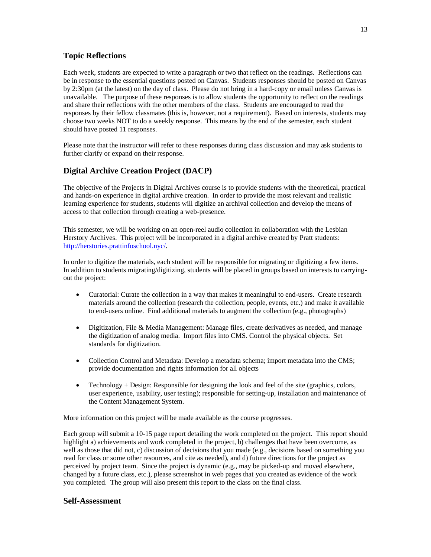## **Topic Reflections**

Each week, students are expected to write a paragraph or two that reflect on the readings. Reflections can be in response to the essential questions posted on Canvas. Students responses should be posted on Canvas by 2:30pm (at the latest) on the day of class. Please do not bring in a hard-copy or email unless Canvas is unavailable. The purpose of these responses is to allow students the opportunity to reflect on the readings and share their reflections with the other members of the class. Students are encouraged to read the responses by their fellow classmates (this is, however, not a requirement). Based on interests, students may choose two weeks NOT to do a weekly response. This means by the end of the semester, each student should have posted 11 responses.

Please note that the instructor will refer to these responses during class discussion and may ask students to further clarify or expand on their response.

## **Digital Archive Creation Project (DACP)**

The objective of the Projects in Digital Archives course is to provide students with the theoretical, practical and hands-on experience in digital archive creation. In order to provide the most relevant and realistic learning experience for students, students will digitize an archival collection and develop the means of access to that collection through creating a web-presence.

This semester, we will be working on an open-reel audio collection in collaboration with the Lesbian Herstory Archives. This project will be incorporated in a digital archive created by Pratt students: [http://herstories.prattinfoschool.nyc/.](http://herstories.prattinfoschool.nyc/)

In order to digitize the materials, each student will be responsible for migrating or digitizing a few items. In addition to students migrating/digitizing, students will be placed in groups based on interests to carryingout the project:

- Curatorial: Curate the collection in a way that makes it meaningful to end-users. Create research materials around the collection (research the collection, people, events, etc.) and make it available to end-users online. Find additional materials to augment the collection (e.g., photographs)
- Digitization, File & Media Management: Manage files, create derivatives as needed, and manage the digitization of analog media. Import files into CMS. Control the physical objects. Set standards for digitization.
- Collection Control and Metadata: Develop a metadata schema; import metadata into the CMS; provide documentation and rights information for all objects
- Technology  $+$  Design: Responsible for designing the look and feel of the site (graphics, colors, user experience, usability, user testing); responsible for setting-up, installation and maintenance of the Content Management System.

More information on this project will be made available as the course progresses.

Each group will submit a 10-15 page report detailing the work completed on the project. This report should highlight a) achievements and work completed in the project, b) challenges that have been overcome, as well as those that did not, c) discussion of decisions that you made (e.g., decisions based on something you read for class or some other resources, and cite as needed), and d) future directions for the project as perceived by project team. Since the project is dynamic (e.g., may be picked-up and moved elsewhere, changed by a future class, etc.), please screenshot in web pages that you created as evidence of the work you completed. The group will also present this report to the class on the final class.

## **Self-Assessment**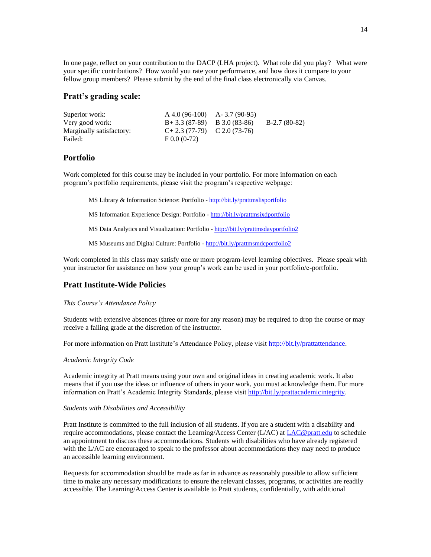In one page, reflect on your contribution to the DACP (LHA project). What role did you play? What were your specific contributions? How would you rate your performance, and how does it compare to your fellow group members? Please submit by the end of the final class electronically via Canvas.

## **Pratt's grading scale:**

| Superior work:           | $A$ 4.0 (96-100) $A$ - 3.7 (90-95) |                |
|--------------------------|------------------------------------|----------------|
| Very good work:          | $B+3.3(87-89)$ B 3.0 (83-86)       | $B-2.7(80-82)$ |
| Marginally satisfactory: | $C+2.3(77-79)$ $C 2.0(73-76)$      |                |
| Failed:                  | $F$ 0.0 (0-72)                     |                |

### **Portfolio**

Work completed for this course may be included in your portfolio. For more information on each program's portfolio requirements, please visit the program's respective webpage:

MS Library & Information Science: Portfolio - <http://bit.ly/prattmslisportfolio>

MS Information Experience Design: Portfolio - <http://bit.ly/prattmsixdportfolio>

MS Data Analytics and Visualization: Portfolio - <http://bit.ly/prattmsdavportfolio2>

MS Museums and Digital Culture: Portfolio - <http://bit.ly/prattmsmdcportfolio2>

Work completed in this class may satisfy one or more program-level learning objectives. Please speak with your instructor for assistance on how your group's work can be used in your portfolio/e-portfolio.

## **Pratt Institute-Wide Policies**

*This Course's Attendance Policy*

Students with extensive absences (three or more for any reason) may be required to drop the course or may receive a failing grade at the discretion of the instructor.

For more information on Pratt Institute's Attendance Policy, please visi[t http://bit.ly/prattattendance.](http://bit.ly/prattattendance)

#### *Academic Integrity Code*

Academic integrity at Pratt means using your own and original ideas in creating academic work. It also means that if you use the ideas or influence of others in your work, you must acknowledge them. For more information on Pratt's Academic Integrity Standards, please visi[t http://bit.ly/prattacademicintegrity.](http://bit.ly/prattacademicintegrity)

#### *Students with Disabilities and Accessibility*

Pratt Institute is committed to the full inclusion of all students. If you are a student with a disability and require accommodations, please contact the Learning/Access Center (L/AC) at [LAC@pratt.edu](mailto:LAC@pratt.edu) to schedule an appointment to discuss these accommodations. Students with disabilities who have already registered with the L/AC are encouraged to speak to the professor about accommodations they may need to produce an accessible learning environment.

Requests for accommodation should be made as far in advance as reasonably possible to allow sufficient time to make any necessary modifications to ensure the relevant classes, programs, or activities are readily accessible. The Learning/Access Center is available to Pratt students, confidentially, with additional